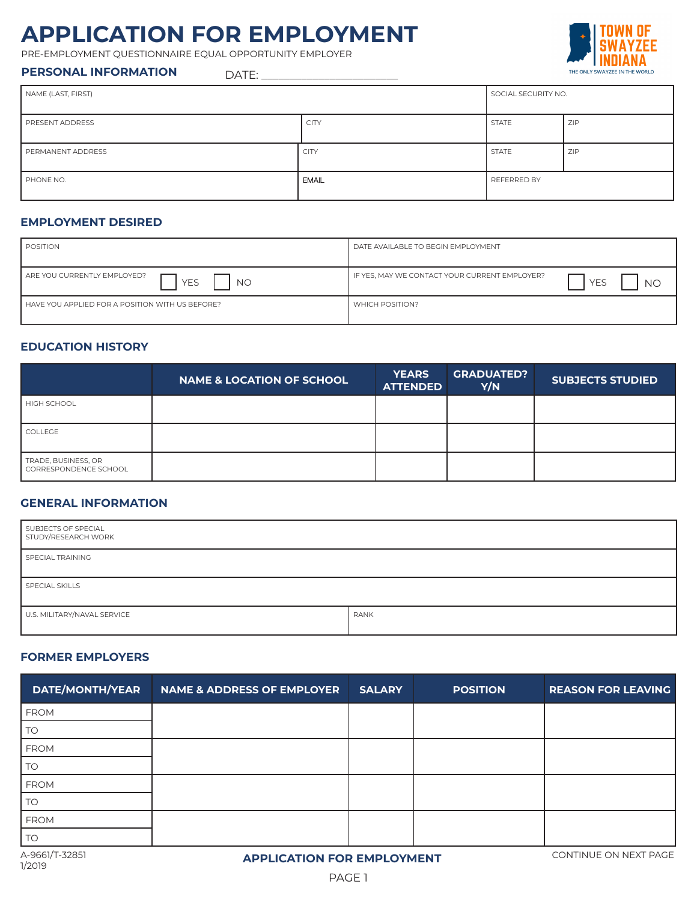## **APPLICATION FOR EMPLOYMENT**

PRE-EMPLOYMENT QUESTIONNAIRE EQUAL OPPORTUNITY EMPLOYER

# THE ONLY SWAYZEE IN T

**PERSONAL INFORMATION** DATE:

| NAME (LAST, FIRST)<br><b>PRESENT ADDRESS</b> | <b>CITY</b>  | SOCIAL SECURITY NO.<br><b>STATE</b> | ZIP |
|----------------------------------------------|--------------|-------------------------------------|-----|
|                                              |              |                                     |     |
| PERMANENT ADDRESS                            | <b>CITY</b>  | <b>STATE</b>                        | ZIP |
| PHONE NO.                                    | <b>EMAIL</b> | REFERRED BY                         |     |

#### **EMPLOYMENT DESIRED**

| POSITION                                                    | DATE AVAILABLE TO BEGIN EMPLOYMENT                                       |  |  |
|-------------------------------------------------------------|--------------------------------------------------------------------------|--|--|
| ARE YOU CURRENTLY EMPLOYED?<br><b>YES</b><br><b>NO</b>      | IF YES, MAY WE CONTACT YOUR CURRENT EMPLOYER?<br><b>YES</b><br><b>NO</b> |  |  |
| $\mathsf I$ have you applied for a position with US before? | <b>WHICH POSITION?</b>                                                   |  |  |

#### **EDUCATION HISTORY**

|                                              | <b>NAME &amp; LOCATION OF SCHOOL</b> | <b>YEARS</b><br><b>ATTENDED</b> | <b>GRADUATED?</b><br>Y/N | <b>SUBJECTS STUDIED</b> |
|----------------------------------------------|--------------------------------------|---------------------------------|--------------------------|-------------------------|
| <b>HIGH SCHOOL</b>                           |                                      |                                 |                          |                         |
| <b>COLLEGE</b>                               |                                      |                                 |                          |                         |
| TRADE, BUSINESS, OR<br>CORRESPONDENCE SCHOOL |                                      |                                 |                          |                         |

#### **GENERAL INFORMATION**

| SUBJECTS OF SPECIAL<br>STUDY/RESEARCH WORK |             |  |  |  |
|--------------------------------------------|-------------|--|--|--|
| SPECIAL TRAINING                           |             |  |  |  |
| SPECIAL SKILLS                             |             |  |  |  |
| U.S. MILITARY/NAVAL SERVICE                | <b>RANK</b> |  |  |  |

#### **FORMER EMPLOYERS**

| DATE/MONTH/YEAR          | <b>NAME &amp; ADDRESS OF EMPLOYER</b> | <b>SALARY</b> | <b>POSITION</b> | <b>REASON FOR LEAVING</b> |
|--------------------------|---------------------------------------|---------------|-----------------|---------------------------|
| <b>FROM</b>              |                                       |               |                 |                           |
| <b>TO</b>                |                                       |               |                 |                           |
| <b>FROM</b>              |                                       |               |                 |                           |
| <b>TO</b>                |                                       |               |                 |                           |
| <b>FROM</b>              |                                       |               |                 |                           |
| <b>TO</b>                |                                       |               |                 |                           |
| <b>FROM</b>              |                                       |               |                 |                           |
| <b>TO</b>                |                                       |               |                 |                           |
| A-9661/T-32851<br>1/2019 | <b>APPLICATION FOR EMPLOYMENT</b>     |               |                 | CONTINUE ON NEXT PAGE     |